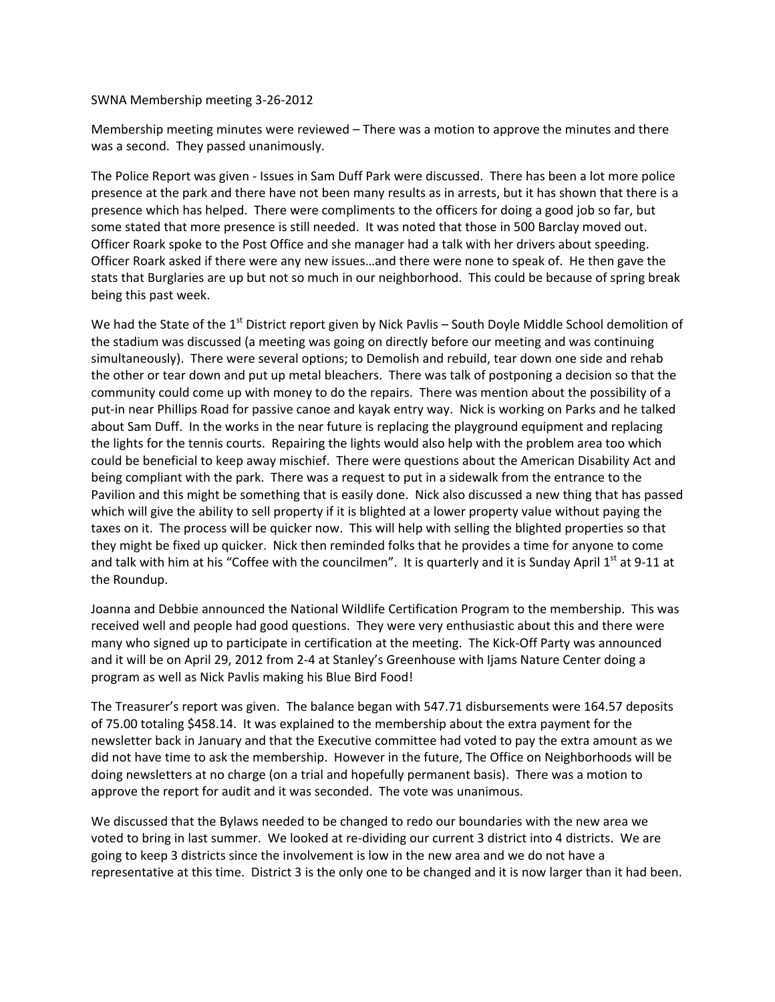SWNA Membership meeting 3-26-2012

Membership meeting minutes were reviewed – There was a motion to approve the minutes and there was a second. They passed unanimously.

The Police Report was given - Issues in Sam Duff Park were discussed. There has been a lot more police presence at the park and there have not been many results as in arrests, but it has shown that there is a presence which has helped. There were compliments to the officers for doing a good job so far, but some stated that more presence is still needed. It was noted that those in 500 Barclay moved out. Officer Roark spoke to the Post Office and she manager had a talk with her drivers about speeding. Officer Roark asked if there were any new issues...and there were none to speak of. He then gave the stats that Burglaries are up but not so much in our neighborhood. This could be because of spring break being this past week.

We had the State of the 1<sup>st</sup> District report given by Nick Pavlis – South Doyle Middle School demolition of the stadium was discussed (a meeting was going on directly before our meeting and was continuing simultaneously). There were several options; to Demolish and rebuild, tear down one side and rehab the other or tear down and put up metal bleachers. There was talk of postponing a decision so that the community could come up with money to do the repairs. There was mention about the possibility of a put-in near Phillips Road for passive canoe and kayak entry way. Nick is working on Parks and he talked about Sam Duff. In the works in the near future is replacing the playground equipment and replacing the lights for the tennis courts. Repairing the lights would also help with the problem area too which could be beneficial to keep away mischief. There were questions about the American Disability Act and being compliant with the park. There was a request to put in a sidewalk from the entrance to the Pavilion and this might be something that is easily done. Nick also discussed a new thing that has passed which will give the ability to sell property if it is blighted at a lower property value without paying the taxes on it. The process will be quicker now. This will help with selling the blighted properties so that they might be fixed up quicker. Nick then reminded folks that he provides a time for anyone to come and talk with him at his "Coffee with the councilmen". It is quarterly and it is Sunday April 1st at 9-11 at the Roundup.

Joanna and Debbie announced the National Wildlife Certification Program to the membership. This was received well and people had good questions. They were very enthusiastic about this and there were many who signed up to participate in certification at the meeting. The Kick-Off Party was announced and it will be on April 29, 2012 from 2-4 at Stanley's Greenhouse with Ijams Nature Center doing a program as well as Nick Pavlis making his Blue Bird Food!

The Treasurer's report was given. The balance began with 547.71 disbursements were 164.57 deposits of 75.00 totaling \$458.14. It was explained to the membership about the extra payment for the newsletter back in January and that the Executive committee had voted to pay the extra amount as we did not have time to ask the membership. However in the future, The Office on Neighborhoods will be doing newsletters at no charge (on a trial and hopefully permanent basis). There was a motion to approve the report for audit and it was seconded. The vote was unanimous.

We discussed that the Bylaws needed to be changed to redo our boundaries with the new area we voted to bring in last summer. We looked at re-dividing our current 3 district into 4 districts. We are going to keep 3 districts since the involvement is low in the new area and we do not have a representative at this time. District 3 is the only one to be changed and it is now larger than it had been.